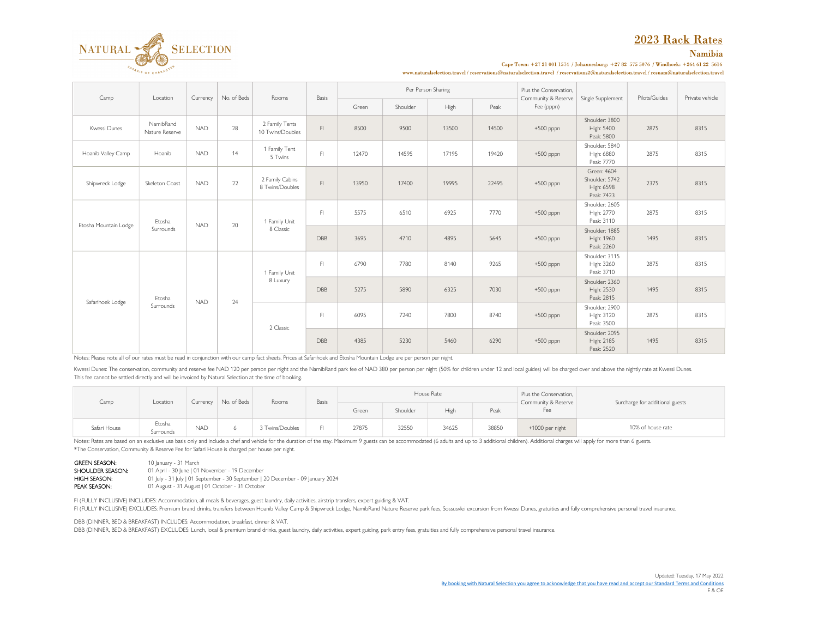# 2023 Rack Rates



# Namibia

Cape Town: +27 21 001 1574 / Johannesburg: +27 82 575 5076 / Windhoek: +264 61 22 5616

 ${\bf www.natural selection.r} \textit{ravel}/\textit{reservation@natural selection.r} \textit{ravel}/\textit{reservation@natural selection.r} \textit{ravel}/\textit{reservation@natural selection.r} \textit{ravel}/\textit{resnam@natural selection.r} \textit{ravel}/\textit{resram@natural selection.r} \textit{ravel}/\textit{resram@natural selection.r} \textit{ravel}/\textit{resram@natural selection.r} \textit{ravel}/\textit{resram@natural selection.r} \textit{ravel}/\textit{resram@natural selection.r} \textit{ravel}/\textit{resram@natural selection.r} \textit{ravel}/\textit{resram@natural selection.r} \textit{ravel}/\textit{resram@$ 

| Camp                  | Location                    | Currency   | No. of Beds | Rooms                              | Basis      | Per Person Sharing |          |       |       | Plus the Conservation.            | Single Supplement                                         | Pilots/Guides | Private vehicle |
|-----------------------|-----------------------------|------------|-------------|------------------------------------|------------|--------------------|----------|-------|-------|-----------------------------------|-----------------------------------------------------------|---------------|-----------------|
|                       |                             |            |             |                                    |            | Green              | Shoulder | High  | Peak  | Community & Reserve<br>Fee (pppn) |                                                           |               |                 |
| Kwessi Dunes          | NamibRand<br>Nature Reserve | <b>NAD</b> | 28          | 2 Family Tents<br>10 Twins/Doubles | F1         | 8500               | 9500     | 13500 | 14500 | $+500$ pppn                       | Shoulder: 3800<br>High: 5400<br>Peak: 5800                | 2875          | 8315            |
| Hoanib Valley Camp    | Hoanib                      | <b>NAD</b> | 14          | 1 Family Tent<br>5 Twins           | F1         | 12470              | 14595    | 17195 | 19420 | $+500$ pppn                       | Shoulder: 5840<br>High: 6880<br>Peak: 7770                | 2875          | 8315            |
| Shipwreck Lodge       | Skeleton Coast              | <b>NAD</b> | 22          | 2 Family Cabins<br>8 Twins/Doubles | F1         | 13950              | 17400    | 19995 | 22495 | $+500$ pppn                       | Green: 4604<br>Shoulder: 5742<br>High: 6598<br>Peak: 7423 | 2375          | 8315            |
| Etosha Mountain Lodge | Etosha<br>Surrounds         | <b>NAD</b> | 20          | 1 Family Unit<br>8 Classic         | F          | 5575               | 6510     | 6925  | 7770  | $+500$ pppn                       | Shoulder: 2605<br>High: 2770<br>Peak: 3110                | 2875          | 8315            |
|                       |                             |            |             |                                    | DBB        | 3695               | 4710     | 4895  | 5645  | $+500$ pppn                       | Shoulder: 1885<br>High: 1960<br>Peak: 2260                | 1495          | 8315            |
| Safarihoek Lodge      | Etosha<br>Surrounds         | <b>NAD</b> | 24          | 1 Family Unit<br>8 Luxury          | F          | 6790               | 7780     | 8140  | 9265  | $+500$ pppn                       | Shoulder: 3115<br>High: 3260<br>Peak: 3710                | 2875          | 8315            |
|                       |                             |            |             |                                    | <b>DBB</b> | 5275               | 5890     | 6325  | 7030  | $+500$ pppn                       | Shoulder: 2360<br>High: 2530<br>Peak: 2815                | 1495          | 8315            |
|                       |                             |            |             | 2 Classic                          | F1         | 6095               | 7240     | 7800  | 8740  | $+500$ pppn                       | Shoulder: 2900<br>High: 3120<br>Peak: 3500                | 2875          | 8315            |
|                       |                             |            |             |                                    | DBB        | 4385               | 5230     | 5460  | 6290  | $+500$ pppn                       | Shoulder: 2095<br>High: 2185<br>Peak: 2520                | 1495          | 8315            |

Notes: Please note all of our rates must be read in conjunction with our camp fact sheets. Prices at Safarihoek and Etosha Mountain Lodge are per person per night.

Kwessi Dunes: The conservation, community and reserve fee NAD 120 per person per night and the NamibRand park fee of NAD 380 per person per night (50% for children under 12 and local guides) will be charged over and above This fee cannot be settled directly and will be invoiced by Natural Selection at the time of booking.

| Camp         | Location            | Currency   | No. of Beds | Rooms           | Basis |       |          | House Rate |       | Plus the Conservation,<br>Community & Reserve<br>Fee | Surcharge for additional guests |
|--------------|---------------------|------------|-------------|-----------------|-------|-------|----------|------------|-------|------------------------------------------------------|---------------------------------|
|              |                     |            |             |                 |       | Green | Shoulder | High       | Peak  |                                                      |                                 |
| Safari House | Etosha<br>Surrounds | <b>NAD</b> |             | 3 Twins/Doubles | CI.   | 27875 | 32550    | 34625      | 38850 | +1000 per night                                      | 10% of house rate               |

Notes: Rates are based on an exclusive use basis only and include a chef and vehicle for the duration of the stay. Maximum 9 guests can be accommodated (6 adults and up to 3 additional children). Additional charges will ap \*The Conservation, Community & Reserve Fee for Safari House is charged per house per night.

GREEN SEASON: 10 January - 31 March<br>SHOULDER SEASON: 01 April - 30 June | 01 **SHOULDER SEASON:** 01 April - 30 June | 01 November - 19 December | 20 June | 01 November - 30 September | 2 01 July - 31 July | 01 September - 30 September | 20 December - 09 January 2024 PEAK SEASON: 01 August - 31 August | 01 October - 31 October

FI (FULLY INCLUSIVE) INCLUDES: Accommodation, all meals & beverages, guest laundry, daily activities, airstrip transfers, expert guiding & VAT.

FI (FULLY INCLUSIVE) EXCLUDES: Premium brand drinks, transfers between Hoanib Valley Camp & Shipwreck Lodge, NamibRand Nature Reserve park fees, Sossusvlei excursion from Kwessi Dunes, gratuities and fully comprehensive pe

DBB (DINNER, BED & BREAKFAST) INCLUDES: Accommodation, breakfast, dinner & VAT.

DBB (DINNER, BED & BREAKFAST) EXCLUDES: Lunch, local & premium brand drinks, guest laundry, daily activities, expert guiding, park entry fees, gratuities and fully comprehensive personal travel insurance.